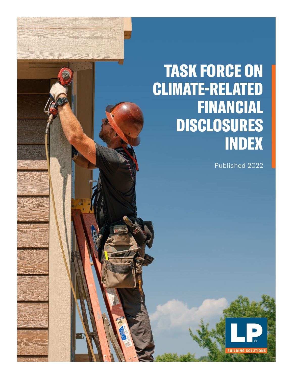# TASK FORCE ON CLIMATE-RELATED FINANCIAL DISCLOSURES INDEX

Published 2022

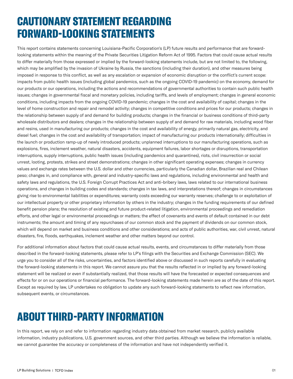## CAUTIONARY STATEMENT REGARDING FORWARD-LOOKING STATEMENTS

This report contains statements concerning Louisiana-Pacific Corporation's (LP) future results and performance that are forwardlooking statements within the meaning of the Private Securities Litigation Reform Act of 1995. Factors that could cause actual results to differ materially from those expressed or implied by the forward-looking statements include, but are not limited to, the following, which may be amplified by the invasion of Ukraine by Russia, the sanctions (including their duration), and other measures being imposed in response to this conflict, as well as any escalation or expansion of economic disruption or the conflict's current scope: impacts from public health issues (including global pandemics, such as the ongoing COVID-19 pandemic) on the economy, demand for our products or our operations, including the actions and recommendations of governmental authorities to contain such public health issues; changes in governmental fiscal and monetary policies, including tariffs, and levels of employment; changes in general economic conditions, including impacts from the ongoing COVID-19 pandemic; changes in the cost and availability of capital; changes in the level of home construction and repair and remodel activity; changes in competitive conditions and prices for our products; changes in the relationship between supply of and demand for building products; changes in the financial or business conditions of third-party wholesale distributors and dealers; changes in the relationship between supply of and demand for raw materials, including wood fiber and resins, used in manufacturing our products; changes in the cost and availability of energy, primarily natural gas, electricity, and diesel fuel; changes in the cost and availability of transportation; impact of manufacturing our products internationally; difficulties in the launch or production ramp-up of newly introduced products; unplanned interruptions to our manufacturing operations, such as explosions, fires, inclement weather, natural disasters, accidents, equipment failures, labor shortages or disruptions, transportation interruptions, supply interruptions, public health issues (including pandemics and quarantines), riots, civil insurrection or social unrest, looting, protests, strikes and street demonstrations; changes in other significant operating expenses; changes in currency values and exchange rates between the U.S. dollar and other currencies, particularly the Canadian dollar, Brazilian real and Chilean peso; changes in, and compliance with, general and industry-specific laws and regulations, including environmental and health and safety laws and regulations, the U.S. Foreign Corrupt Practices Act and anti-bribery laws, laws related to our international business operations, and changes in building codes and standards; changes in tax laws, and interpretations thereof; changes in circumstances giving rise to environmental liabilities or expenditures; warranty costs exceeding our warranty reserves; challenge to or exploitation of our intellectual property or other proprietary information by others in the industry; changes in the funding requirements of our defined benefit pension plans; the resolution of existing and future product-related litigation, environmental proceedings and remediation efforts, and other legal or environmental proceedings or matters; the effect of covenants and events of default contained in our debt instruments; the amount and timing of any repurchases of our common stock and the payment of dividends on our common stock, which will depend on market and business conditions and other considerations; and acts of public authorities, war, civil unrest, natural disasters, fire, floods, earthquakes, inclement weather and other matters beyond our control.

For additional information about factors that could cause actual results, events, and circumstances to differ materially from those described in the forward-looking statements, please refer to LP's filings with the Securities and Exchange Commission (SEC). We urge you to consider all of the risks, uncertainties, and factors identified above or discussed in such reports carefully in evaluating the forward-looking statements in this report. We cannot assure you that the results reflected in or implied by any forward-looking statement will be realized or even if substantially realized, that those results will have the forecasted or expected consequences and effects for or on our operations or financial performance. The forward-looking statements made herein are as of the date of this report. Except as required by law, LP undertakes no obligation to update any such forward-looking statements to reflect new information, subsequent events, or circumstances.

## ABOUT THIRD-PARTY INFORMATION

In this report, we rely on and refer to information regarding industry data obtained from market research, publicly available information, industry publications, U.S. government sources, and other third parties. Although we believe the information is reliable, we cannot guarantee the accuracy or completeness of the information and have not independently verified it.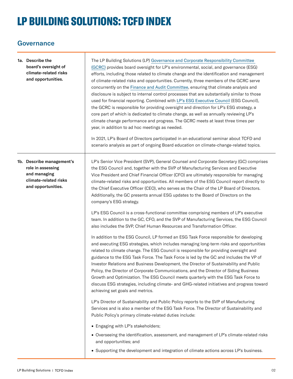## LP BUILDING SOLUTIONS: TCFD INDEX

### **Governance**

|  | 1a. Describe the<br>board's oversight of<br>climate-related risks<br>and opportunities.                       | The LP Building Solutions (LP) Governance and Corporate Responsibility Committee<br>(GCRC) provides board oversight for LP's environmental, social, and governance (ESG)<br>efforts, including those related to climate change and the identification and management<br>of climate-related risks and opportunities. Currently, three members of the GCRC serve<br>concurrently on the Finance and Audit Committee, ensuring that climate analysis and<br>disclosure is subject to internal control processes that are substantially similar to those<br>used for financial reporting. Combined with LP's ESG Executive Council (ESG Council),<br>the GCRC is responsible for providing oversight and direction for LP's ESG strategy, a<br>core part of which is dedicated to climate change, as well as annually reviewing LP's<br>climate change performance and progress. The GCRC meets at least three times per<br>year, in addition to ad hoc meetings as needed.<br>In 2021, LP's Board of Directors participated in an educational seminar about TCFD and<br>scenario analysis as part of ongoing Board education on climate-change-related topics. |  |
|--|---------------------------------------------------------------------------------------------------------------|-------------------------------------------------------------------------------------------------------------------------------------------------------------------------------------------------------------------------------------------------------------------------------------------------------------------------------------------------------------------------------------------------------------------------------------------------------------------------------------------------------------------------------------------------------------------------------------------------------------------------------------------------------------------------------------------------------------------------------------------------------------------------------------------------------------------------------------------------------------------------------------------------------------------------------------------------------------------------------------------------------------------------------------------------------------------------------------------------------------------------------------------------------------|--|
|  | 1b. Describe management's<br>role in assessing<br>and managing<br>climate-related risks<br>and opportunities. | LP's Senior Vice President (SVP), General Counsel and Corporate Secretary (GC) comprises<br>the ESG Council and, together with the SVP of Manufacturing Services and Executive<br>Vice President and Chief Financial Officer (CFO) are ultimately responsible for managing<br>climate-related risks and opportunities. All members of the ESG Council report directly to<br>the Chief Executive Officer (CEO), who serves as the Chair of the LP Board of Directors.<br>Additionally, the GC presents annual ESG updates to the Board of Directors on the<br>company's ESG strategy.<br>LP's ESG Council is a cross-functional committee comprising members of LP's executive<br>team. In addition to the GC, CFO, and the SVP of Manufacturing Services, the ESG Council<br>also includes the SVP, Chief Human Resources and Transformation Officer.                                                                                                                                                                                                                                                                                                       |  |
|  |                                                                                                               | In addition to the ESG Council, LP formed an ESG Task Force responsible for developing<br>and executing ESG strategies, which includes managing long-term risks and opportunities<br>related to climate change. The ESG Council is responsible for providing oversight and<br>guidance to the ESG Task Force. The Task Force is led by the GC and includes the VP of<br>Investor Relations and Business Development, the Director of Sustainability and Public<br>Policy, the Director of Corporate Communications, and the Director of Siding Business<br>Growth and Optimization. The ESG Council meets quarterly with the ESG Task Force to<br>discuss ESG strategies, including climate- and GHG-related initiatives and progress toward<br>achieving set goals and metrics.                                                                                                                                                                                                                                                                                                                                                                            |  |
|  |                                                                                                               | LP's Director of Sustainability and Public Policy reports to the SVP of Manufacturing<br>Services and is also a member of the ESG Task Force. The Director of Sustainability and<br>Public Policy's primary climate-related duties include:                                                                                                                                                                                                                                                                                                                                                                                                                                                                                                                                                                                                                                                                                                                                                                                                                                                                                                                 |  |
|  |                                                                                                               | • Engaging with LP's stakeholders;                                                                                                                                                                                                                                                                                                                                                                                                                                                                                                                                                                                                                                                                                                                                                                                                                                                                                                                                                                                                                                                                                                                          |  |
|  |                                                                                                               | • Overseeing the identification, assessment, and management of LP's climate-related risks<br>and opportunities; and                                                                                                                                                                                                                                                                                                                                                                                                                                                                                                                                                                                                                                                                                                                                                                                                                                                                                                                                                                                                                                         |  |
|  |                                                                                                               | • Supporting the development and integration of climate actions across LP's business.                                                                                                                                                                                                                                                                                                                                                                                                                                                                                                                                                                                                                                                                                                                                                                                                                                                                                                                                                                                                                                                                       |  |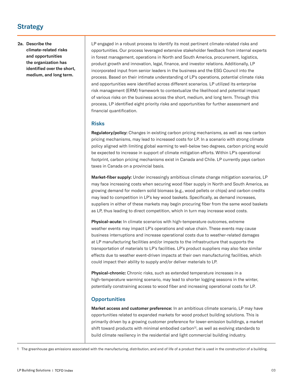### Strategy

#### 2a. Describe the climate-related risks and opportunities the organization has identified over the short, medium, and long term.

LP engaged in a robust process to identify its most pertinent climate-related risks and opportunities. Our process leveraged extensive stakeholder feedback from internal experts in forest management, operations in North and South America, procurement, logistics, product growth and innovation, legal, finance, and investor relations. Additionally, LP incorporated input from senior leaders in the business and the ESG Council into the process. Based on their intimate understanding of LP's operations, potential climate risks and opportunities were identified across different scenarios. LP utilized its enterprise risk management (ERM) framework to contextualize the likelihood and potential impact of various risks on the business across the short, medium, and long term. Through this process, LP identified eight priority risks and opportunities for further assessment and financial quantification.

#### Risks

Regulatory/policy: Changes in existing carbon pricing mechanisms, as well as new carbon pricing mechanisms, may lead to increased costs for LP. In a scenario with strong climate policy aligned with limiting global warming to well-below two degrees, carbon pricing would be expected to increase in support of climate mitigation efforts. Within LP's operational footprint, carbon pricing mechanisms exist in Canada and Chile. LP currently pays carbon taxes in Canada on a provincial basis.

Market-fiber supply: Under increasingly ambitious climate change mitigation scenarios, LP may face increasing costs when securing wood fiber supply in North and South America, as growing demand for modern solid biomass (e.g., wood pellets or chips) and carbon credits may lead to competition in LP's key wood baskets. Specifically, as demand increases, suppliers in either of these markets may begin procuring fiber from the same wood baskets as LP, thus leading to direct competition, which in turn may increase wood costs.

Physical-acute: In climate scenarios with high-temperature outcomes, extreme weather events may impact LP's operations and value chain. These events may cause business interruptions and increase operational costs due to weather-related damages at LP manufacturing facilities and/or impacts to the infrastructure that supports the transportation of materials to LP's facilities. LP's product suppliers may also face similar effects due to weather event-driven impacts at their own manufacturing facilities, which could impact their ability to supply and/or deliver materials to LP.

Physical-chronic: Chronic risks, such as extended temperature increases in a high-temperature warming scenario, may lead to shorter logging seasons in the winter, potentially constraining access to wood fiber and increasing operational costs for LP.

#### **Opportunities**

Market access and customer preference: In an ambitious climate scenario, LP may have opportunities related to expanded markets for wood product building solutions. This is primarily driven by a growing customer preference for lower-emission buildings, a market shift toward products with minimal embodied carbon<sup>[1]</sup>, as well as evolving standards to build climate resiliency in the residential and light commercial building industry.

1 The greenhouse gas emissions associated with the manufacturing, distribution, and end of life of a product that is used in the construction of a building.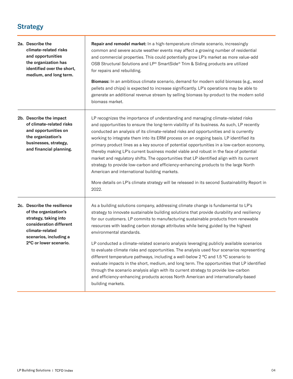## **Strategy**

T

| 2a. Describe the<br>climate-related risks<br>and opportunities<br>the organization has<br>identified over the short,<br>medium, and long term.                                  | <b>Repair and remodel market:</b> In a high-temperature climate scenario, increasingly<br>common and severe acute weather events may affect a growing number of residential<br>and commercial properties. This could potentially grow LP's market as more value-add<br>OSB Structural Solutions and LP® SmartSide® Trim & Siding products are utilized<br>for repairs and rebuilding.<br>Biomass: In an ambitious climate scenario, demand for modern solid biomass (e.g., wood<br>pellets and chips) is expected to increase significantly. LP's operations may be able to                                                                                                                                                                                                                                                                                                                                                                                            |  |
|---------------------------------------------------------------------------------------------------------------------------------------------------------------------------------|------------------------------------------------------------------------------------------------------------------------------------------------------------------------------------------------------------------------------------------------------------------------------------------------------------------------------------------------------------------------------------------------------------------------------------------------------------------------------------------------------------------------------------------------------------------------------------------------------------------------------------------------------------------------------------------------------------------------------------------------------------------------------------------------------------------------------------------------------------------------------------------------------------------------------------------------------------------------|--|
|                                                                                                                                                                                 | generate an additional revenue stream by selling biomass by-product to the modern solid<br>biomass market.                                                                                                                                                                                                                                                                                                                                                                                                                                                                                                                                                                                                                                                                                                                                                                                                                                                             |  |
| 2b. Describe the impact<br>of climate-related risks<br>and opportunities on<br>the organization's<br>businesses, strategy,<br>and financial planning.                           | LP recognizes the importance of understanding and managing climate-related risks<br>and opportunities to ensure the long-term viability of its business. As such, LP recently<br>conducted an analysis of its climate-related risks and opportunities and is currently<br>working to integrate them into its ERM process on an ongoing basis. LP identified its<br>primary product lines as a key source of potential opportunities in a low-carbon economy,<br>thereby making LP's current business model viable and robust in the face of potential<br>market and regulatory shifts. The opportunities that LP identified align with its current<br>strategy to provide low-carbon and efficiency-enhancing products to the large North<br>American and international building markets.<br>More details on LP's climate strategy will be released in its second Sustainability Report in<br>2022.                                                                    |  |
| 2c. Describe the resilience<br>of the organization's<br>strategy, taking into<br>consideration different<br>climate-related<br>scenarios, including a<br>2°C or lower scenario. | As a building solutions company, addressing climate change is fundamental to LP's<br>strategy to innovate sustainable building solutions that provide durability and resiliency<br>for our customers. LP commits to manufacturing sustainable products from renewable<br>resources with leading carbon storage attributes while being guided by the highest<br>environmental standards.<br>LP conducted a climate-related scenario analysis leveraging publicly available scenarios<br>to evaluate climate risks and opportunities. The analysis used four scenarios representing<br>different temperature pathways, including a well-below 2 °C and 1.5 °C scenario to<br>evaluate impacts in the short, medium, and long term. The opportunities that LP identified<br>through the scenario analysis align with its current strategy to provide low-carbon<br>and efficiency-enhancing products across North American and internationally-based<br>building markets. |  |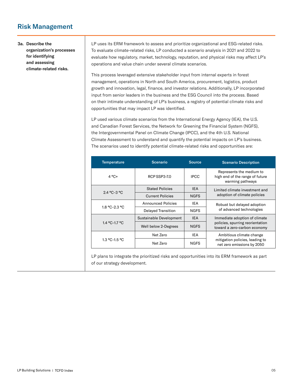## Risk Management

#### 3a. Describe the organization's processes for identifying and assessing climate-related risks.

LP uses its ERM framework to assess and prioritize organizational and ESG-related risks. To evaluate climate-related risks, LP conducted a scenario analysis in 2021 and 2022 to evaluate how regulatory, market, technology, reputation, and physical risks may affect LP's operations and value chain under several climate scenarios.

This process leveraged extensive stakeholder input from internal experts in forest management, operations in North and South America, procurement, logistics, product growth and innovation, legal, finance, and investor relations. Additionally, LP incorporated input from senior leaders in the business and the ESG Council into the process. Based on their intimate understanding of LP's business, a registry of potential climate risks and opportunities that may impact LP was identified.

LP used various climate scenarios from the International Energy Agency (IEA), the U.S. and Canadian Forest Services, the Network for Greening the Financial System (NGFS), the Intergovernmental Panel on Climate Change (IPCC), and the 4th U.S. National Climate Assessment to understand and quantify the potential impacts on LP's business. The scenarios used to identify potential climate-related risks and opportunities are:

| <b>Temperature</b> | <b>Scenario</b>           | <b>Source</b> | <b>Scenario Description</b>                                                                       |  |
|--------------------|---------------------------|---------------|---------------------------------------------------------------------------------------------------|--|
| $4°C+$             | RCP SSP3-7.0              | <b>IPCC</b>   | Represents the medium to<br>high end of the range of future<br>warming pathways                   |  |
| $2.4 °C - 3 °C$    | <b>Stated Policies</b>    | <b>IEA</b>    | Limited climate investment and<br>adoption of climate policies                                    |  |
|                    | <b>Current Policies</b>   | <b>NGFS</b>   |                                                                                                   |  |
| $1.8 °C - 2.3 °C$  | <b>Announced Policies</b> | IEA           | Robust but delayed adoption<br>of advanced technologies                                           |  |
|                    | Delayed Transition        | <b>NGFS</b>   |                                                                                                   |  |
|                    | Sustainable Development   | <b>IEA</b>    | Immediate adoption of climate<br>policies, spurring reorientation<br>toward a zero-carbon economy |  |
| 1.4 °C-1.7 °C      | Well below 2-Degrees      | <b>NGFS</b>   |                                                                                                   |  |
|                    | Net Zero                  | <b>IEA</b>    | Ambitious climate change                                                                          |  |
| 1.3 °C-1.5 °C      | Net Zero                  | <b>NGFS</b>   | mitigation policies, leading to<br>net zero emissions by 2050                                     |  |

LP plans to integrate the prioritized risks and opportunities into its ERM framework as part of our strategy development.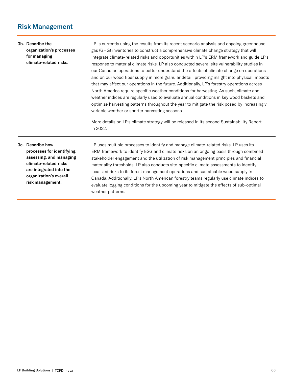## Risk Management

 $\overline{\phantom{a}}$ 

|                                                                                                                                                                             | 3b. Describe the<br>organization's processes<br>for managing<br>climate-related risks. | LP is currently using the results from its recent scenario analysis and ongoing greenhouse<br>gas (GHG) inventories to construct a comprehensive climate change strategy that will<br>integrate climate-related risks and opportunities within LP's ERM framework and guide LP's<br>response to material climate risks. LP also conducted several site vulnerability studies in<br>our Canadian operations to better understand the effects of climate change on operations<br>and on our wood fiber supply in more granular detail, providing insight into physical impacts<br>that may affect our operations in the future. Additionally, LP's forestry operations across<br>North America require specific weather conditions for harvesting. As such, climate and<br>weather indices are regularly used to evaluate annual conditions in key wood baskets and<br>optimize harvesting patterns throughout the year to mitigate the risk posed by increasingly<br>variable weather or shorter harvesting seasons.<br>More details on LP's climate strategy will be released in its second Sustainability Report<br>in 2022. |
|-----------------------------------------------------------------------------------------------------------------------------------------------------------------------------|----------------------------------------------------------------------------------------|-------------------------------------------------------------------------------------------------------------------------------------------------------------------------------------------------------------------------------------------------------------------------------------------------------------------------------------------------------------------------------------------------------------------------------------------------------------------------------------------------------------------------------------------------------------------------------------------------------------------------------------------------------------------------------------------------------------------------------------------------------------------------------------------------------------------------------------------------------------------------------------------------------------------------------------------------------------------------------------------------------------------------------------------------------------------------------------------------------------------------------|
| 3c. Describe how<br>processes for identifying,<br>assessing, and managing<br>climate-related risks<br>are integrated into the<br>organization's overall<br>risk management. |                                                                                        | LP uses multiple processes to identify and manage climate-related risks. LP uses its<br>ERM framework to identify ESG and climate risks on an ongoing basis through combined<br>stakeholder engagement and the utilization of risk management principles and financial<br>materiality thresholds. LP also conducts site-specific climate assessments to identify<br>localized risks to its forest management operations and sustainable wood supply in<br>Canada. Additionally, LP's North American forestry teams regularly use climate indices to<br>evaluate logging conditions for the upcoming year to mitigate the effects of sub-optimal<br>weather patterns.                                                                                                                                                                                                                                                                                                                                                                                                                                                          |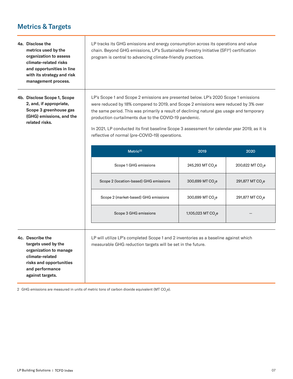### Metrics & Targets

- 4a. Disclose the metrics used by the organization to assess climate-related risks and opportunities in line with its strategy and risk management process.
- 4b. Disclose Scope 1, Scope 2, and, if appropriate, Scope 3 greenhouse gas (GHG) emissions, and the related risks.

LP tracks its GHG emissions and energy consumption across its operations and value chain. Beyond GHG emissions, LP's Sustainable Forestry Initiative (SFI®) certification program is central to advancing climate-friendly practices.

LP's Scope 1 and Scope 2 emissions are presented below. LP's 2020 Scope 1 emissions were reduced by 18% compared to 2019, and Scope 2 emissions were reduced by 3% over the same period. This was primarily a result of declining natural gas usage and temporary production curtailments due to the COVID-19 pandemic.

In 2021, LP conducted its first baseline Scope 3 assessment for calendar year 2019, as it is reflective of normal (pre-COVID-19) operations.

|                                                                                      | Metric <sup>[2]</sup>                                                                                                                               | 2019                           | 2020                         |
|--------------------------------------------------------------------------------------|-----------------------------------------------------------------------------------------------------------------------------------------------------|--------------------------------|------------------------------|
|                                                                                      | Scope 1 GHG emissions                                                                                                                               | 245,293 MT CO <sub>2</sub> e   | 200,622 MT CO <sub>2</sub> e |
|                                                                                      | Scope 2 (location-based) GHG emissions                                                                                                              | 300,699 MT CO <sub>2</sub> e   | 291,877 MT CO <sub>2</sub> e |
|                                                                                      | Scope 2 (market-based) GHG emissions                                                                                                                | 300,699 MT CO <sub>2</sub> e   | 291,877 MT CO <sub>2</sub> e |
|                                                                                      | Scope 3 GHG emissions                                                                                                                               | 1,105,023 MT CO <sub>2</sub> e |                              |
|                                                                                      |                                                                                                                                                     |                                |                              |
| 4c. Describe the<br>targets used by the<br>organization to manage<br>climate-related | LP will utilize LP's completed Scope 1 and 2 inventories as a baseline against which<br>measurable GHG reduction targets will be set in the future. |                                |                              |

2  $\,$  GHG emissions are measured in units of metric tons of carbon dioxide equivalent (MT CO $_2$ e).

risks and opportunities and performance against targets.